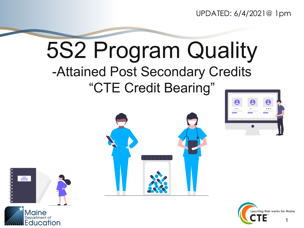UPDATED: 6/4/2021@ 1pm

#### 5S2 Program Quality -Attained Post Secondary Credits "CTE Credit Bearing"







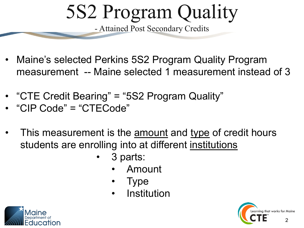- Maine's selected Perkins 5S2 Program Quality Program measurement -- Maine selected 1 measurement instead of 3
- "CTE Credit Bearing" = "5S2 Program Quality"
- "CIP Code" = "CTECode"
- This measurement is the amount and type of credit hours students are enrolling into at different institutions
	- 3 parts:
		- Amount
		- Type
		- **Institution**



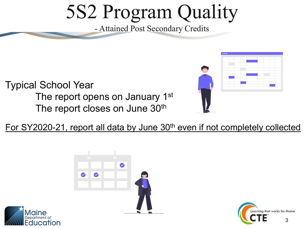Typical School Year The report opens on January 1<sup>st</sup> The report closes on June 30<sup>th</sup>

For SY2020-21, report all data by June 30<sup>th</sup> even if not completely collected





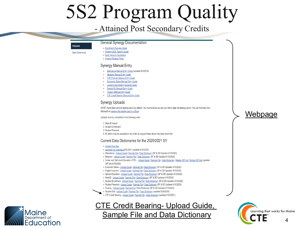#### **Helpdesk**

#### **General Synergy Documentation**

Data Warehouse

- Enrollment Changes Guide • Synergy DOE Training Guide • Basic Synergy Navigation
- · Synergy Related FAQs

#### **Synergy Manual Entry**

- Attendance Manual Entry Guide (updated 9/3/2019)
- **Behavior Manual Entry Guide**  $\cdot$
- **CTE Program Manual Entry Guide**
- **Economic Status Manual Entry Guide**
- **Locating-and-Adding Students Guide**
- **Special Ed Manual Entry Guide**
- **Truancy Manual Entry Guide**
- . CTE Credit Bearing Manual Entry Guide

#### **Synergy Uploads**

NOTE: Excel does remove leading zero's by default. You must ensure you set your file to keep the leading zero's. You can find help from Microsoft on keeping the leading zero's in Excel

Uploads must by completed in the following order

#### 1. State ID Import

- 2. Student Enrollment
- 3. Student Personal
- 4. All others may be uploaded in any order as long as these above had been done first

#### Current Data Dictionaries for the 2020/2021 SY

- Upload Overview
- Summary of Changes 2020-2021 (updated 6/16/2020)
- Attendance Upload Guide | Sample File | Data Dictionary (SF & DD Updated 4/10/2020)
- Behavior Upload Guide | Sample File | Data Dictionary (SF & DD Updated 4/10/2020)
- Career and Technical Education (CTE) Upload Guide | Sample File | Data Dictionary | Master CIP List | School CIP List (updated CIP lists 6/18/2020)
- Economic Status Upload Guide | Sample File | Data Dictionary (SF & DD Updated 4/10/2020)
- English Learners Upload Guide | Sample File | Data Dictionary (SF & DD Updated 4/10/2020)
- Special Education Upload Guide | Sample File | Data Dictionary (SF & DD Updated 4/10/2020)
- StateID Upload Guide | Sample File | Data Dictionary (SF & DD Updated 4/10/2020)
- Student Enrollment Upload Guide | Sample File | Data Dictionary (SF & DD Updated 4/10/2020)
- Student Personal Upload Guide | Sample File | Data Dictionary (SF & DD Updated 4/10/2020)
- Truancy Upload Guide | Sample File | Data Dictionary (SF & DD Updated 4/10/2020)
- Student Exit Upload Guide | Sample File | Data Dictionary (updated 5/29/2020)
	- CTE Credit Bearing Upload Guide | Sample File | Data Dictionary (updated 4/23/2021)

#### CTE Credit Bearing- Upload Guide,

#### Sample File and Data [Dictionary](https://www.maine.gov/doe/sites/maine.gov.doe/files/inline-files/CTECreditBearing_Updated_Oct92020.xlsx) **CTE** A





Webpage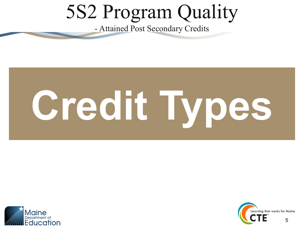# **Credit Types**



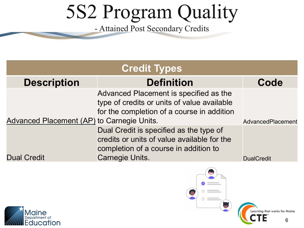| <b>Credit Types</b>                        |                                                                                                                                                           |                   |  |  |  |  |  |  |
|--------------------------------------------|-----------------------------------------------------------------------------------------------------------------------------------------------------------|-------------------|--|--|--|--|--|--|
| <b>Description</b>                         | <b>Definition</b>                                                                                                                                         | Code              |  |  |  |  |  |  |
| Advanced Placement (AP) to Carnegie Units. | Advanced Placement is specified as the<br>type of credits or units of value available<br>for the completion of a course in addition                       | AdvancedPlacement |  |  |  |  |  |  |
| <b>Dual Credit</b>                         | Dual Credit is specified as the type of<br>credits or units of value available for the<br>completion of a course in addition to<br><b>Carnegie Units.</b> | <b>DualCredit</b> |  |  |  |  |  |  |



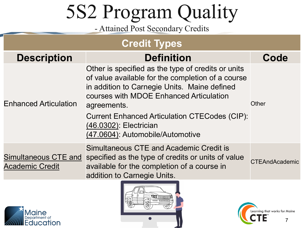#### **Credit Types**

| <b>Description</b>                                    | <b>Definition</b>                                                                                                                                                                                                                                                                                                                       | Code                  |
|-------------------------------------------------------|-----------------------------------------------------------------------------------------------------------------------------------------------------------------------------------------------------------------------------------------------------------------------------------------------------------------------------------------|-----------------------|
| <b>Enhanced Articulation</b>                          | Other is specified as the type of credits or units<br>of value available for the completion of a course<br>in addition to Carnegie Units. Maine defined<br>courses with MDOE Enhanced Articulation<br>agreements.<br><b>Current Enhanced Articulation CTECodes (CIP):</b><br>(46.0302): Electrician<br>(47.0604): Automobile/Automotive | <b>Other</b>          |
| <b>Simultaneous CTE and</b><br><b>Academic Credit</b> | <b>Simultaneous CTE and Academic Credit is</b><br>specified as the type of credits or units of value<br>available for the completion of a course in<br>addition to Carnegie Units.                                                                                                                                                      | <b>CTEAndAcademic</b> |





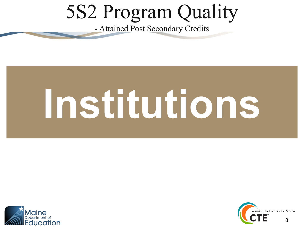# **Institutions**



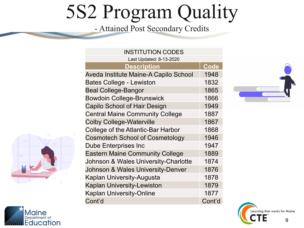| Last Updated: 8-13-2020<br><b>Description</b><br>Aveda Institute Maine-A Capilo School<br><b>Bates College - Lewiston</b><br><b>Beal College-Bangor</b><br><b>Bowdoin College-Brunswick</b><br><b>Capilo School of Hair Design</b><br><b>Central Maine Community College</b><br><b>Colby College-Waterville</b><br>College of the Atlantic-Bar Harbor<br><b>Cosmotech School of Cosmetology</b><br><b>Dube Enterprises Inc</b><br><b>Eastern Maine Community College</b><br>Johnson & Wales University-Charlotte<br>Johnson & Wales University-Denver<br>Kaplan University-Augusta<br><b>Kaplan University-Lewiston</b><br><b>Kaplan University-Online</b><br>Cont'd | <b>INSTITUTION CODES</b> |             |
|----------------------------------------------------------------------------------------------------------------------------------------------------------------------------------------------------------------------------------------------------------------------------------------------------------------------------------------------------------------------------------------------------------------------------------------------------------------------------------------------------------------------------------------------------------------------------------------------------------------------------------------------------------------------|--------------------------|-------------|
|                                                                                                                                                                                                                                                                                                                                                                                                                                                                                                                                                                                                                                                                      |                          |             |
|                                                                                                                                                                                                                                                                                                                                                                                                                                                                                                                                                                                                                                                                      |                          | <b>Code</b> |
|                                                                                                                                                                                                                                                                                                                                                                                                                                                                                                                                                                                                                                                                      |                          | 1948        |
|                                                                                                                                                                                                                                                                                                                                                                                                                                                                                                                                                                                                                                                                      |                          | 1832        |
|                                                                                                                                                                                                                                                                                                                                                                                                                                                                                                                                                                                                                                                                      |                          | 1865        |
|                                                                                                                                                                                                                                                                                                                                                                                                                                                                                                                                                                                                                                                                      |                          | 1866        |
|                                                                                                                                                                                                                                                                                                                                                                                                                                                                                                                                                                                                                                                                      |                          | 1949        |
|                                                                                                                                                                                                                                                                                                                                                                                                                                                                                                                                                                                                                                                                      |                          | 1887        |
|                                                                                                                                                                                                                                                                                                                                                                                                                                                                                                                                                                                                                                                                      |                          | 1867        |
|                                                                                                                                                                                                                                                                                                                                                                                                                                                                                                                                                                                                                                                                      |                          | 1868        |
|                                                                                                                                                                                                                                                                                                                                                                                                                                                                                                                                                                                                                                                                      |                          | 1946        |
|                                                                                                                                                                                                                                                                                                                                                                                                                                                                                                                                                                                                                                                                      |                          | 1947        |
|                                                                                                                                                                                                                                                                                                                                                                                                                                                                                                                                                                                                                                                                      |                          | 1889        |
|                                                                                                                                                                                                                                                                                                                                                                                                                                                                                                                                                                                                                                                                      |                          | 1874        |
|                                                                                                                                                                                                                                                                                                                                                                                                                                                                                                                                                                                                                                                                      |                          | 1876        |
|                                                                                                                                                                                                                                                                                                                                                                                                                                                                                                                                                                                                                                                                      |                          | 1878        |
|                                                                                                                                                                                                                                                                                                                                                                                                                                                                                                                                                                                                                                                                      |                          | 1879        |
|                                                                                                                                                                                                                                                                                                                                                                                                                                                                                                                                                                                                                                                                      |                          | 1877        |
|                                                                                                                                                                                                                                                                                                                                                                                                                                                                                                                                                                                                                                                                      |                          | Cont'd      |







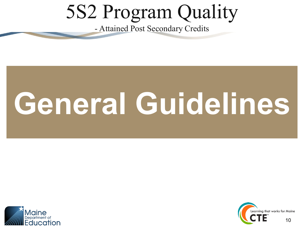# **General Guidelines**



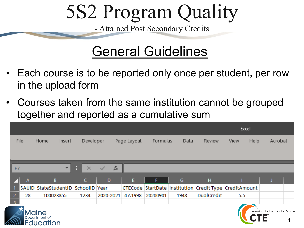#### General Guidelines

- Each course is to be reported only once per student, per row in the upload form
- Courses taken from the same institution cannot be grouped together and reported as a cumulative sum

|                |              |                               |        |                                    |           |             |          |      |                                                        | Excel |      |                               |  |
|----------------|--------------|-------------------------------|--------|------------------------------------|-----------|-------------|----------|------|--------------------------------------------------------|-------|------|-------------------------------|--|
|                | File         | Home                          | Insert | Developer                          |           | Page Layout | Formulas | Data | Review                                                 | View  | Help | Acrobat                       |  |
|                |              |                               |        |                                    |           |             |          |      |                                                        |       |      |                               |  |
|                |              |                               |        |                                    |           |             |          |      |                                                        |       |      |                               |  |
| F7             |              |                               | ÷.     | ÷                                  | $f_x$     |             |          |      |                                                        |       |      |                               |  |
|                |              |                               |        |                                    |           |             |          |      |                                                        |       |      |                               |  |
|                | $\mathbf{A}$ | B                             |        | $\mathsf{C}$                       | D         | E           | F        | G    | H                                                      |       |      |                               |  |
|                |              |                               |        | SAUID StateStudentID SchoolID Year |           |             |          |      | CTECode StartDate Institution Credit Type CreditAmount |       |      |                               |  |
| $\overline{2}$ | 28           | 100023355                     |        | 1234                               | 2020-2021 | 47.1998     | 20200901 | 1948 | <b>DualCredit</b>                                      | 5.5   |      |                               |  |
|                |              |                               |        |                                    |           |             |          |      |                                                        |       |      |                               |  |
|                |              | Maine<br><b>Department</b> of |        |                                    |           |             |          |      |                                                        |       |      | Learning that works for Maine |  |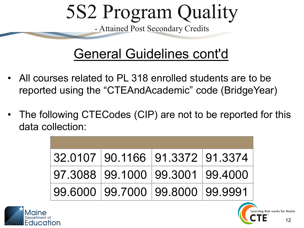#### General Guidelines cont'd

- All courses related to PL 318 enrolled students are to be reported using the "CTEAndAcademic" code (BridgeYear)
- The following CTECodes (CIP) are not to be reported for this data collection:

| 32.0107 90.1166 91.3372 91.3374 |  |
|---------------------------------|--|
| 97.3088 99.1000 99.3001 99.4000 |  |
| 99.6000 99.7000 99.8000 99.9991 |  |



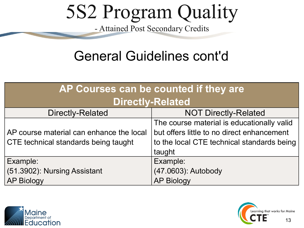#### General Guidelines cont'd

| AP Courses can be counted if they are    |                                            |  |  |  |  |  |  |
|------------------------------------------|--------------------------------------------|--|--|--|--|--|--|
| <b>Directly-Related</b>                  |                                            |  |  |  |  |  |  |
| <b>Directly-Related</b>                  | <b>NOT Directly-Related</b>                |  |  |  |  |  |  |
|                                          | The course material is educationally valid |  |  |  |  |  |  |
| AP course material can enhance the local | but offers little to no direct enhancement |  |  |  |  |  |  |
| CTE technical standards being taught     | to the local CTE technical standards being |  |  |  |  |  |  |
|                                          | taught                                     |  |  |  |  |  |  |
| Example:                                 | Example:                                   |  |  |  |  |  |  |
| (51.3902): Nursing Assistant             | (47.0603): Autobody                        |  |  |  |  |  |  |
| <b>AP Biology</b>                        | <b>AP Biology</b>                          |  |  |  |  |  |  |



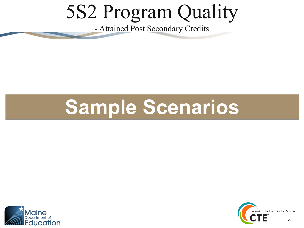#### **Sample Scenarios**



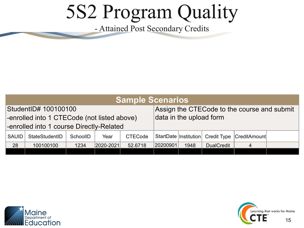|                                             | <b>Sample Scenarios</b>                  |          |           |                         |                                             |      |                   |                          |  |  |  |  |
|---------------------------------------------|------------------------------------------|----------|-----------|-------------------------|---------------------------------------------|------|-------------------|--------------------------|--|--|--|--|
| StudentID# 100100100                        |                                          |          |           |                         | Assign the CTECode to the course and submit |      |                   |                          |  |  |  |  |
| -enrolled into 1 CTECode (not listed above) |                                          |          |           | data in the upload form |                                             |      |                   |                          |  |  |  |  |
|                                             | -enrolled into 1 course Directly-Related |          |           |                         |                                             |      |                   |                          |  |  |  |  |
| <b>SAUID</b>                                | StateStudentID                           | SchoolID | Year      | <b>CTECode</b>          | StartDate   Institution                     |      |                   | Credit Type CreditAmount |  |  |  |  |
| 28                                          | 100100100                                | 1234     | 2020-2021 | 52.6718                 | 20200901                                    | 1948 | <b>DualCredit</b> | 4                        |  |  |  |  |
|                                             |                                          |          |           |                         |                                             |      |                   |                          |  |  |  |  |



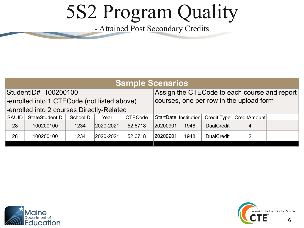|                                             | <b>Sample Scenarios</b> |          |           |                |          |                                              |                                         |                          |  |  |  |  |
|---------------------------------------------|-------------------------|----------|-----------|----------------|----------|----------------------------------------------|-----------------------------------------|--------------------------|--|--|--|--|
| StudentID# 100200100                        |                         |          |           |                |          | Assign the CTECode to each course and report |                                         |                          |  |  |  |  |
| -enrolled into 1 CTECode (not listed above) |                         |          |           |                |          |                                              | courses, one per row in the upload form |                          |  |  |  |  |
| -enrolled into 2 courses Directly-Related   |                         |          |           |                |          |                                              |                                         |                          |  |  |  |  |
| <b>SAUID</b>                                | StateStudentID          | SchoolID | Year      | <b>CTECode</b> |          | StartDate   Institution                      |                                         | Credit Type CreditAmount |  |  |  |  |
| 28                                          | 100200100               | 1234     | 2020-2021 | 52.6718        | 20200901 | 1948                                         | <b>DualCredit</b>                       | 4                        |  |  |  |  |
| 28                                          | 100200100               | 1234     | 2020-2021 | 52.6718        | 20200901 | 1948                                         | <b>DualCredit</b>                       | 2                        |  |  |  |  |
|                                             |                         |          |           |                |          |                                              |                                         |                          |  |  |  |  |



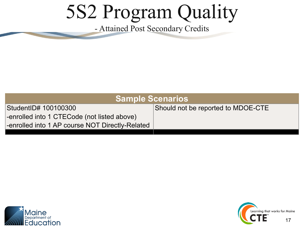| <b>Sample Scenarios</b>                         |                                    |  |  |  |  |  |  |  |
|-------------------------------------------------|------------------------------------|--|--|--|--|--|--|--|
| StudentID# 100100300                            | Should not be reported to MDOE-CTE |  |  |  |  |  |  |  |
| -enrolled into 1 CTECode (not listed above)     |                                    |  |  |  |  |  |  |  |
| -enrolled into 1 AP course NOT Directly-Related |                                    |  |  |  |  |  |  |  |
|                                                 |                                    |  |  |  |  |  |  |  |



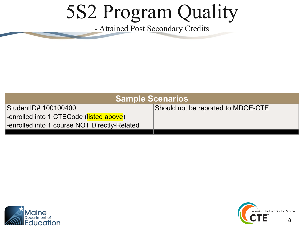| <b>Sample Scenarios</b>                      |                                    |  |  |  |  |  |  |
|----------------------------------------------|------------------------------------|--|--|--|--|--|--|
| StudentID# 100100400                         | Should not be reported to MDOE-CTE |  |  |  |  |  |  |
| -enrolled into 1 CTECode (listed above)      |                                    |  |  |  |  |  |  |
| -enrolled into 1 course NOT Directly-Related |                                    |  |  |  |  |  |  |
|                                              |                                    |  |  |  |  |  |  |



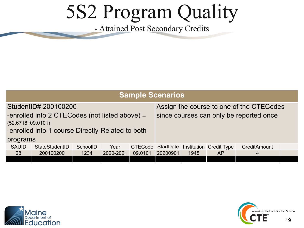|                                                                                                                                                   | <b>Sample Scenarios</b> |          |           |                |          |      |                                   |                                                                                     |  |  |  |  |
|---------------------------------------------------------------------------------------------------------------------------------------------------|-------------------------|----------|-----------|----------------|----------|------|-----------------------------------|-------------------------------------------------------------------------------------|--|--|--|--|
| StudentID# 200100200<br>-enrolled into 2 CTECodes (not listed above) --<br>(52.6718, 09.0101)<br>-enrolled into 1 course Directly-Related to both |                         |          |           |                |          |      |                                   | Assign the course to one of the CTECodes<br>since courses can only be reported once |  |  |  |  |
| programs                                                                                                                                          |                         |          |           |                |          |      |                                   |                                                                                     |  |  |  |  |
| <b>SAUID</b>                                                                                                                                      | StateStudentID          | SchoolID | Year      | <b>CTECode</b> |          |      | StartDate Institution Credit Type | CreditAmount                                                                        |  |  |  |  |
| 28                                                                                                                                                | 200100200               | 1234     | 2020-2021 | 09.0101        | 20200901 | 1948 | <b>AP</b>                         | $\overline{4}$                                                                      |  |  |  |  |
|                                                                                                                                                   |                         |          |           |                |          |      |                                   |                                                                                     |  |  |  |  |



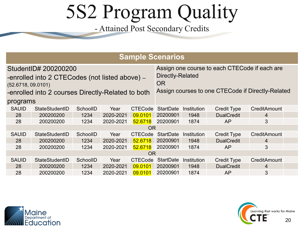|                    | <b>Sample Scenarios</b>                                                                                                      |          |           |                        |                  |                                                                                                    |                    |                     |  |  |  |  |  |
|--------------------|------------------------------------------------------------------------------------------------------------------------------|----------|-----------|------------------------|------------------|----------------------------------------------------------------------------------------------------|--------------------|---------------------|--|--|--|--|--|
| (52.6718, 09.0101) | StudentID# 200200200<br>-enrolled into 2 CTECodes (not listed above) --<br>-enrolled into 2 courses Directly-Related to both |          |           | Directly-Related<br>OR |                  | Assign one course to each CTECode if each are<br>Assign courses to one CTECode if Directly-Related |                    |                     |  |  |  |  |  |
| programs           |                                                                                                                              |          |           |                        |                  |                                                                                                    |                    |                     |  |  |  |  |  |
| <b>SAUID</b>       | StateStudentID                                                                                                               | SchoolID | Year      | <b>CTECode</b>         | <b>StartDate</b> | <b>Institution</b>                                                                                 | <b>Credit Type</b> | CreditAmount        |  |  |  |  |  |
| 28                 | 200200200                                                                                                                    | 1234     | 2020-2021 | 09.0101                | 20200901         | 1948                                                                                               | <b>DualCredit</b>  | 4                   |  |  |  |  |  |
| 28                 | 200200200                                                                                                                    | 1234     | 2020-2021 | 52,6718                | 20200901         | 1874                                                                                               | AP                 | 3                   |  |  |  |  |  |
|                    |                                                                                                                              |          |           | <b>OR</b>              |                  |                                                                                                    |                    |                     |  |  |  |  |  |
| <b>SAUID</b>       | StateStudentID                                                                                                               | SchoolID | Year      | <b>CTECode</b>         | <b>StartDate</b> | Institution                                                                                        | <b>Credit Type</b> | <b>CreditAmount</b> |  |  |  |  |  |
| 28                 | 200200200                                                                                                                    | 1234     | 2020-2021 | 52.6718                | 20200901         | 1948                                                                                               | <b>DualCredit</b>  | 4                   |  |  |  |  |  |
| 28                 | 200200200                                                                                                                    | 1234     | 2020-2021 | 52.6718                | 20200901         | 1874                                                                                               | <b>AP</b>          | 3                   |  |  |  |  |  |
|                    |                                                                                                                              |          |           | <b>OR</b>              |                  |                                                                                                    |                    |                     |  |  |  |  |  |
| <b>SAUID</b>       | StateStudentID                                                                                                               | SchoolID | Year      | <b>CTECode</b>         | <b>StartDate</b> | Institution                                                                                        | <b>Credit Type</b> | <b>CreditAmount</b> |  |  |  |  |  |
| 28                 | 200200200                                                                                                                    | 1234     | 2020-2021 | 09.0101                | 20200901         | 1948                                                                                               | <b>DualCredit</b>  | 4                   |  |  |  |  |  |
| 28                 | 200200200                                                                                                                    | 1234     | 2020-2021 | 09.0101                | 20200901         | 1874                                                                                               | AP                 | 3                   |  |  |  |  |  |



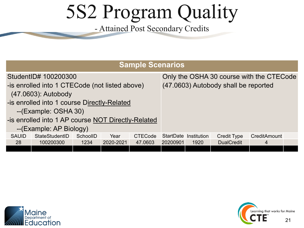| <b>Sample Scenarios</b>                            |                |          |           |                |          |                                          |                    |              |  |  |  |
|----------------------------------------------------|----------------|----------|-----------|----------------|----------|------------------------------------------|--------------------|--------------|--|--|--|
| StudentID# 100200300                               |                |          |           |                |          | Only the OSHA 30 course with the CTECode |                    |              |  |  |  |
| -is enrolled into 1 CTECode (not listed above)     |                |          |           |                |          | (47.0603) Autobody shall be reported     |                    |              |  |  |  |
| (47.0603): Autobody                                |                |          |           |                |          |                                          |                    |              |  |  |  |
| -is enrolled into 1 course Directly-Related        |                |          |           |                |          |                                          |                    |              |  |  |  |
| --(Example: OSHA 30)                               |                |          |           |                |          |                                          |                    |              |  |  |  |
| -is enrolled into 1 AP course NOT Directly-Related |                |          |           |                |          |                                          |                    |              |  |  |  |
| --(Example: AP Biology)                            |                |          |           |                |          |                                          |                    |              |  |  |  |
| <b>SAUID</b>                                       | StateStudentID | SchoolID | Year      | <b>CTECode</b> |          | StartDate Institution                    | <b>Credit Type</b> | CreditAmount |  |  |  |
| 28                                                 | 100200300      | 1234     | 2020-2021 | 47.0603        | 20200901 | 1920                                     | <b>DualCredit</b>  | 4            |  |  |  |
|                                                    |                |          |           |                |          |                                          |                    |              |  |  |  |



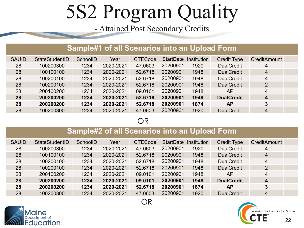#### **Sample#1 of all Scenarios into an Upload Form**

| <b>SAUID</b> | StateStudentID | SchoolID | Year      | <b>CTECode</b> | <b>StartDate</b> | Institution | <b>Credit Type</b> | <b>CreditAmount</b>     |  |
|--------------|----------------|----------|-----------|----------------|------------------|-------------|--------------------|-------------------------|--|
| 28           | 100200300      | 1234     | 2020-2021 | 47.0603        | 20200901         | 1920        | <b>DualCredit</b>  | 4                       |  |
| 28           | 100100100      | 1234     | 2020-2021 | 52.6718        | 20200901         | 1948        | <b>DualCredit</b>  | $\overline{4}$          |  |
| 28           | 100200100      | 1234     | 2020-2021 | 52.6718        | 20200901         | 1948        | <b>DualCredit</b>  | $\overline{4}$          |  |
| 28           | 100200100      | 1234     | 2020-2021 | 52.6718        | 20200901         | 1948        | <b>DualCredit</b>  | $\overline{2}$          |  |
| 28           | 200100200      | 1234     | 2020-2021 | 09.0101        | 20200901         | 1948        | AP                 | 4                       |  |
| 28           | 200200200      | 1234     | 2020-2021 | 52.6718        | 20200901         | 1948        | <b>DualCredit</b>  | $\overline{\mathbf{4}}$ |  |
| 28           | 200200200      | 1234     | 2020-2021 | 52.6718        | 20200901         | 1874        | <b>AP</b>          | 3                       |  |
| 28           | 100200300      | 1234     | 2020-2021 | 47.0603        | 20200901         | 1920        | <b>DualCredit</b>  | $\overline{4}$          |  |

OR

#### **Sample#2 of all Scenarios into an Upload Form**

| <b>SAUID</b> | StateStudentID | SchoolID | Year      | <b>CTECode</b> | <b>StartDate</b> | <b>Institution</b> | <b>Credit Type</b> | <b>CreditAmount</b> |  |
|--------------|----------------|----------|-----------|----------------|------------------|--------------------|--------------------|---------------------|--|
| 28           | 100200300      | 1234     | 2020-2021 | 47.0603        | 20200901         | 1920               | <b>DualCredit</b>  | $\overline{4}$      |  |
| 28           | 100100100      | 1234     | 2020-2021 | 52.6718        | 20200901         | 1948               | <b>DualCredit</b>  | $\overline{4}$      |  |
| 28           | 100200100      | 1234     | 2020-2021 | 52.6718        | 20200901         | 1948               | <b>DualCredit</b>  | $\overline{4}$      |  |
| 28           | 100200100      | 1234     | 2020-2021 | 52.6718        | 20200901         | 1948               | <b>DualCredit</b>  | $\overline{2}$      |  |
| 28           | 200100200      | 1234     | 2020-2021 | 09.0101        | 20200901         | 1948               | AP                 | 4                   |  |
| 28           | 200200200      | 1234     | 2020-2021 | 09.0101        | 20200901         | 1948               | <b>DualCredit</b>  | 4                   |  |
| 28           | 200200200      | 1234     | 2020-2021 | 52.6718        | 20200901         | 1874               | <b>AP</b>          | 3                   |  |
| 28           | 100200300      | 1234     | 2020-2021 | 47.0603        | 20200901         | 1920               | <b>DualCredit</b>  | $\overline{4}$      |  |



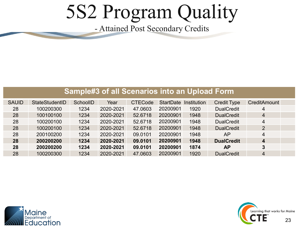#### **Sample#3 of all Scenarios into an Upload Form**

| <b>SAUID</b> | StateStudentID | SchoolID | Year      | <b>CTECode</b> | <b>StartDate</b> | Institution | <b>Credit Type</b> | <b>CreditAmount</b> |  |
|--------------|----------------|----------|-----------|----------------|------------------|-------------|--------------------|---------------------|--|
| 28           | 100200300      | 1234     | 2020-2021 | 47.0603        | 20200901         | 1920        | <b>DualCredit</b>  | $\overline{4}$      |  |
| 28           | 100100100      | 1234     | 2020-2021 | 52.6718        | 20200901         | 1948        | <b>DualCredit</b>  | $\overline{4}$      |  |
| 28           | 100200100      | 1234     | 2020-2021 | 52.6718        | 20200901         | 1948        | <b>DualCredit</b>  | 4                   |  |
| 28           | 100200100      | 1234     | 2020-2021 | 52.6718        | 20200901         | 1948        | <b>DualCredit</b>  | $\overline{2}$      |  |
| 28           | 200100200      | 1234     | 2020-2021 | 09.0101        | 20200901         | 1948        | AP                 | $\overline{4}$      |  |
| 28           | 200200200      | 1234     | 2020-2021 | 09.0101        | 20200901         | 1948        | <b>DualCredit</b>  | $\boldsymbol{4}$    |  |
| 28           | 200200200      | 1234     | 2020-2021 | 09.0101        | 20200901         | 1874        | <b>AP</b>          | $\overline{3}$      |  |
| 28           | 100200300      | 1234     | 2020-2021 | 47.0603        | 20200901         | 1920        | <b>DualCredit</b>  | $\overline{4}$      |  |



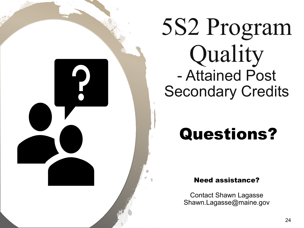#### Questions?

Need assistance?

Contact Shawn Lagasse Shawn.Lagasse@maine.gov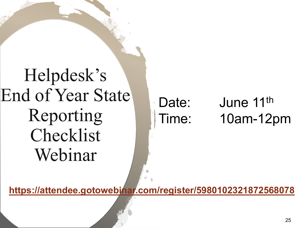Helpdesk's End of Year State Reporting Checklist Webinar

Date: June 11<sup>th</sup> Time: 10am-12pm

**<https://attendee.gotowebinar.com/register/5980102321872568078>**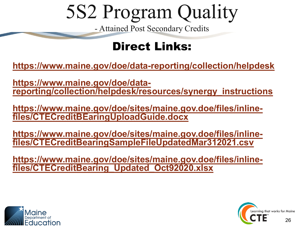#### Direct Links:

**<https://www.maine.gov/doe/data-reporting/collection/helpdesk>**

**https://www.maine.gov/doe/data- [reporting/collection/helpdesk/resources/synergy\\_instructions](https://www.maine.gov/doe/data-reporting/collection/helpdesk/resources/synergy_instructions)**

**[https://www.maine.gov/doe/sites/maine.gov.doe/files/inline-](https://www.maine.gov/doe/sites/maine.gov.doe/files/inline-files/CTECreditBEaringUploadGuide.docx) files/CTECreditBEaringUploadGuide.docx**

**[https://www.maine.gov/doe/sites/maine.gov.doe/files/inline-](https://www.maine.gov/doe/sites/maine.gov.doe/files/inline-files/CTECreditBearingSampleFileUpdatedMar312021.csv) files/CTECreditBearingSampleFileUpdatedMar312021.csv**

**[https://www.maine.gov/doe/sites/maine.gov.doe/files/inline-](https://www.maine.gov/doe/sites/maine.gov.doe/files/inline-files/CTECreditBearing_Updated_Oct92020.xlsx) files/CTECreditBearing\_Updated\_Oct92020.xlsx**



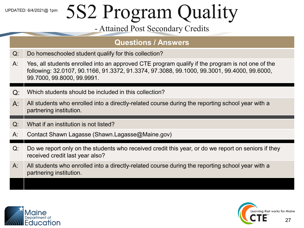#### **Questions / Answers**

- Q: Do homeschooled student qualify for this collection?
- A: Yes, all students enrolled into an approved CTE program qualify if the program is not one of the following: 32.0107, 90.1166, 91.3372, 91.3374, 97.3088, 99.1000, 99.3001, 99.4000, 99.6000, 99.7000, 99.8000, 99.9991.
- Q: Which students should be included in this collection?
- $A:$  All students who enrolled into a directly-related course during the reporting school year with a partnering institution.
- Q: What if an institution is not listed?
- A: Contact Shawn Lagasse (Shawn.Lagasse@Maine.gov)
- Q: Do we report only on the students who received credit this year, or do we report on seniors if they received credit last year also? received credit last year also?
- A: All students who enrolled into a directly-related course during the reporting school year with a partnering institution.



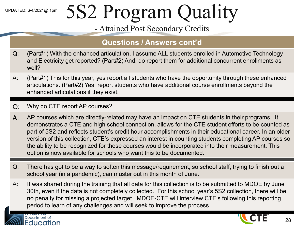#### **Questions / Answers cont'd**

- Q: (Part#1) With the enhanced articulation, I assume ALL students enrolled in Automotive Technology and Electricity get reported? (Part#2) And, do report them for additional concurrent enrollments as well?
- A: (Part#1) This for this year, yes report all students who have the opportunity through these enhanced articulations. (Part#2) Yes, report students who have additional course enrollments beyond the enhanced articulations if they exist.
- Q: Why do CTE report AP courses?

Department of **Education** 

- A: AP courses which are directly-related may have an impact on CTE students in their programs. It demonstrates a CTE and high school connection, allows for the CTE student efforts to be counted as part of 5S2 and reflects student's credit hour accomplishments in their educational career. In an older version of this collection, CTE's expressed an interest in counting students completing AP courses so the ability to be recognized for those courses would be incorporated into their measurement. This option is now available for schools who want this to be documented.
- Q: There has got to be a way to soften this message/requirement, so school staff, trying to finish out a school year (in a pandemic), can muster out in this month of June.
- A: It was shared during the training that all data for this collection is to be submitted to MDOE by June 30th, even if the data is not completely collected. For this school year's 5S2 collection, there will be no penalty for missing a projected target. MDOE-CTE will interview CTE's following this reporting period to learn of any challenges and will seek to improve the process.

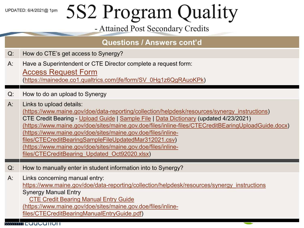#### **Questions / Answers cont'd**

- Q: How do CTE's get access to Synergy?
- A: Have a Superintendent or CTE Director complete a request form:

#### [Access Request Form](https://mainedoe.co1.qualtrics.com/jfe/form/SV_0Hg1z6QgRAuoKPk)

[\(https://mainedoe.co1.qualtrics.com/jfe/form/SV\\_0Hg1z6QgRAuoKPk\)](https://mainedoe.co1.qualtrics.com/jfe/form/SV_0Hg1z6QgRAuoKPk)

#### Q: How to do an upload to Synergy

A: Links to upload details:

[\(https://www.maine.gov/doe/data-reporting/collection/helpdesk/resources/synergy\\_instructions](https://www.maine.gov/doe/data-reporting/collection/helpdesk/resources/synergy_instructions)) CTE Credit Bearing - [Upload Guide](https://www.maine.gov/doe/sites/maine.gov.doe/files/inline-files/CTECreditBEaringUploadGuide.docx) | [Sample File](https://www.maine.gov/doe/sites/maine.gov.doe/files/inline-files/CTECreditBearingSampleFileUpdatedMar312021.csv) | [Data Dictionary](https://www.maine.gov/doe/sites/maine.gov.doe/files/inline-files/CTECreditBearing_Updated_Oct92020.xlsx) (updated 4/23/2021) [\(https://www.maine.gov/doe/sites/maine.gov.doe/files/inline-files/CTECreditBEaringUploadGuide.docx\)](https://www.maine.gov/doe/sites/maine.gov.doe/files/inline-files/CTECreditBEaringUploadGuide.docx) (https://www.maine.gov/doe/sites/maine.gov.doe/files/inline[files/CTECreditBearingSampleFileUpdatedMar312021.csv\)](https://www.maine.gov/doe/sites/maine.gov.doe/files/inline-files/CTECreditBearingSampleFileUpdatedMar312021.csv)  [\(https://www.maine.gov/doe/sites/maine.gov.doe/files/inline](https://www.maine.gov/doe/sites/maine.gov.doe/files/inline-files/CTECreditBearing_Updated_Oct92020.xlsx)files/CTECreditBearing\_Updated\_Oct92020.xlsx)

- Q: How to manually enter in student information into to Synergy?
- A: Links concerning manual entry: [https://www.maine.gov/doe/data-reporting/collection/helpdesk/resources/synergy\\_instructions](https://www.maine.gov/doe/data-reporting/collection/helpdesk/resources/synergy_instructions) Synergy Manual Entry [CTE Credit Bearing Manual Entry Guide](https://www.maine.gov/doe/sites/maine.gov.doe/files/inline-files/CTECreditBearingManualEntryGuide.pdf)

[\(https://www.maine.gov/doe/sites/maine.gov.doe/files/inline-](https://www.maine.gov/doe/sites/maine.gov.doe/files/inline-files/CTECreditBearingManualEntryGuide.pdf)

files/CTECreditBearingManualEntryGuide.pdf)



29